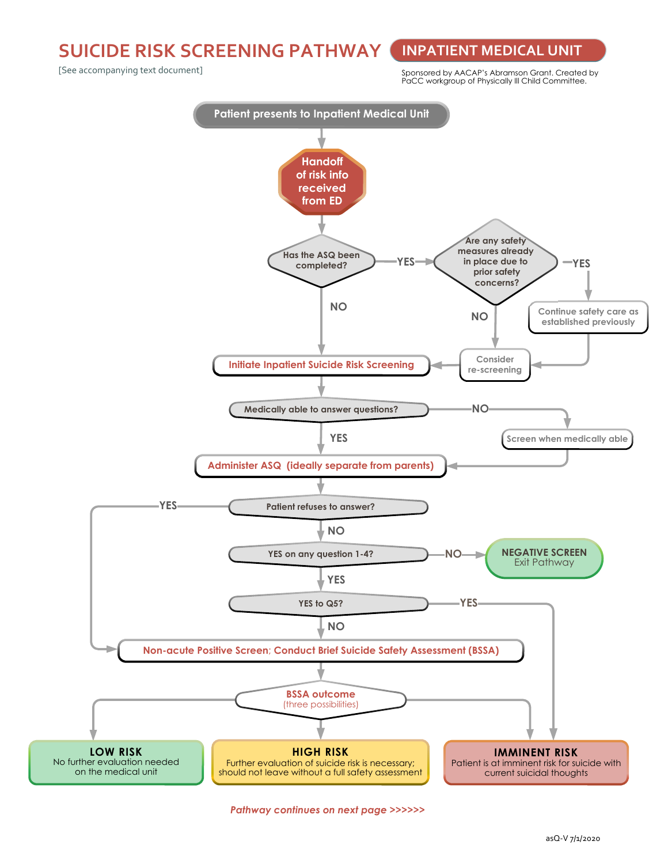**SUICIDE RISK SCREENING PATHWAY INPATIENT MEDICAL UNIT**

[See accompanying text document]

Sponsored by AACAP's Abramson Grant. Created by PaCC workgroup of Physically Ill Child Committee.